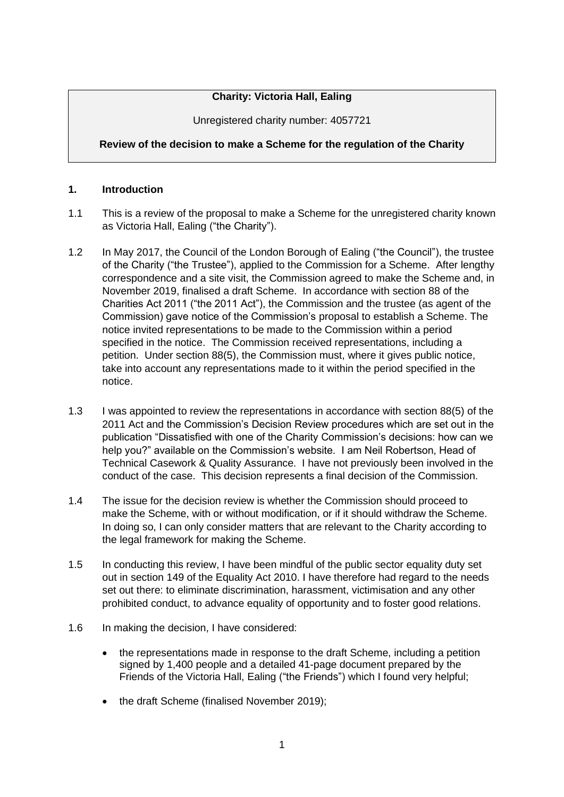# **Charity: Victoria Hall, Ealing**

Unregistered charity number: 4057721

# **Review of the decision to make a Scheme for the regulation of the Charity**

### **1. Introduction**

- 1.1 This is a review of the proposal to make a Scheme for the unregistered charity known as Victoria Hall, Ealing ("the Charity").
- 1.2 In May 2017, the Council of the London Borough of Ealing ("the Council"), the trustee of the Charity ("the Trustee"), applied to the Commission for a Scheme. After lengthy correspondence and a site visit, the Commission agreed to make the Scheme and, in November 2019, finalised a draft Scheme. In accordance with section 88 of the Charities Act 2011 ("the 2011 Act"), the Commission and the trustee (as agent of the Commission) gave notice of the Commission's proposal to establish a Scheme. The notice invited representations to be made to the Commission within a period specified in the notice. The Commission received representations, including a petition. Under section 88(5), the Commission must, where it gives public notice, take into account any representations made to it within the period specified in the notice.
- 1.3 I was appointed to review the representations in accordance with section 88(5) of the 2011 Act and the Commission's Decision Review procedures which are set out in the publication "Dissatisfied with one of the Charity Commission's decisions: how can we help you?" available on the Commission's website. I am Neil Robertson, Head of Technical Casework & Quality Assurance. I have not previously been involved in the conduct of the case. This decision represents a final decision of the Commission.
- 1.4 The issue for the decision review is whether the Commission should proceed to make the Scheme, with or without modification, or if it should withdraw the Scheme. In doing so, I can only consider matters that are relevant to the Charity according to the legal framework for making the Scheme.
- 1.5 In conducting this review, I have been mindful of the public sector equality duty set out in section 149 of the Equality Act 2010. I have therefore had regard to the needs set out there: to eliminate discrimination, harassment, victimisation and any other prohibited conduct, to advance equality of opportunity and to foster good relations.
- 1.6 In making the decision, I have considered:
	- the representations made in response to the draft Scheme, including a petition signed by 1,400 people and a detailed 41-page document prepared by the Friends of the Victoria Hall, Ealing ("the Friends") which I found very helpful;
	- the draft Scheme (finalised November 2019);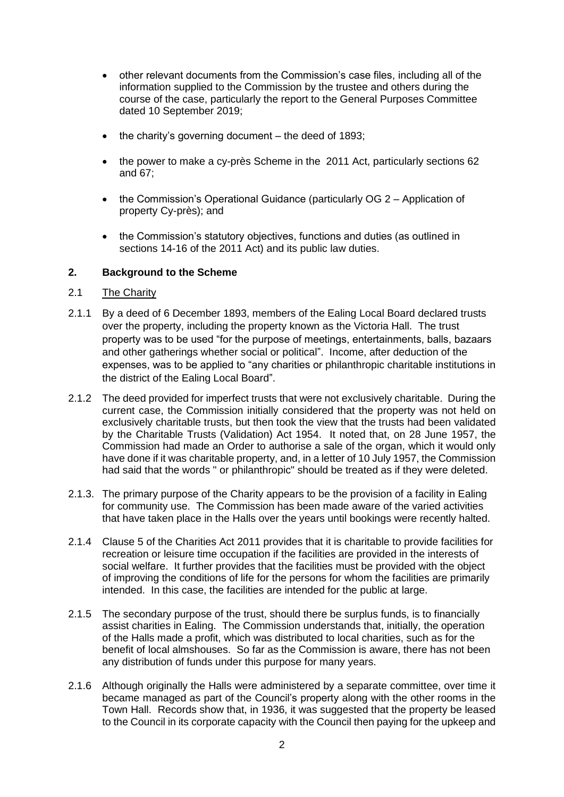- other relevant documents from the Commission's case files, including all of the information supplied to the Commission by the trustee and others during the course of the case, particularly the report to the General Purposes Committee dated 10 September 2019;
- the charity's governing document the deed of 1893;
- the power to make a cy-près Scheme in the 2011 Act, particularly sections 62 and 67;
- the Commission's Operational Guidance (particularly OG 2 Application of property Cy-près); and
- the Commission's statutory objectives, functions and duties (as outlined in sections 14-16 of the 2011 Act) and its public law duties.

#### **2. Background to the Scheme**

#### 2.1 The Charity

- 2.1.1 By a deed of 6 December 1893, members of the Ealing Local Board declared trusts over the property, including the property known as the Victoria Hall. The trust property was to be used "for the purpose of meetings, entertainments, balls, bazaars and other gatherings whether social or political". Income, after deduction of the expenses, was to be applied to "any charities or philanthropic charitable institutions in the district of the Ealing Local Board".
- 2.1.2 The deed provided for imperfect trusts that were not exclusively charitable. During the current case, the Commission initially considered that the property was not held on exclusively charitable trusts, but then took the view that the trusts had been validated by the Charitable Trusts (Validation) Act 1954. It noted that, on 28 June 1957, the Commission had made an Order to authorise a sale of the organ, which it would only have done if it was charitable property, and, in a letter of 10 July 1957, the Commission had said that the words " or philanthropic" should be treated as if they were deleted.
- 2.1.3. The primary purpose of the Charity appears to be the provision of a facility in Ealing for community use. The Commission has been made aware of the varied activities that have taken place in the Halls over the years until bookings were recently halted.
- 2.1.4 Clause 5 of the Charities Act 2011 provides that it is charitable to provide facilities for recreation or leisure time occupation if the facilities are provided in the interests of social welfare. It further provides that the facilities must be provided with the object of improving the conditions of life for the persons for whom the facilities are primarily intended. In this case, the facilities are intended for the public at large.
- 2.1.5 The secondary purpose of the trust, should there be surplus funds, is to financially assist charities in Ealing. The Commission understands that, initially, the operation of the Halls made a profit, which was distributed to local charities, such as for the benefit of local almshouses. So far as the Commission is aware, there has not been any distribution of funds under this purpose for many years.
- 2.1.6 Although originally the Halls were administered by a separate committee, over time it became managed as part of the Council's property along with the other rooms in the Town Hall. Records show that, in 1936, it was suggested that the property be leased to the Council in its corporate capacity with the Council then paying for the upkeep and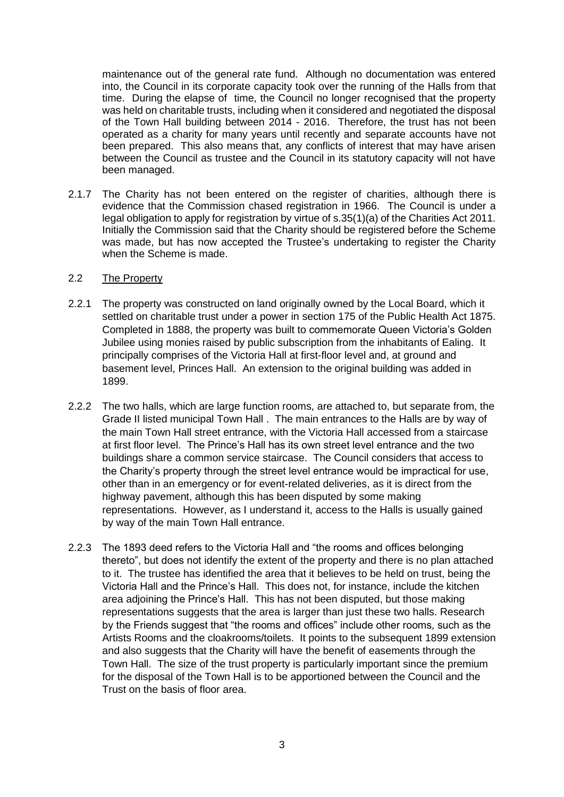maintenance out of the general rate fund. Although no documentation was entered into, the Council in its corporate capacity took over the running of the Halls from that time. During the elapse of time, the Council no longer recognised that the property was held on charitable trusts, including when it considered and negotiated the disposal of the Town Hall building between 2014 - 2016. Therefore, the trust has not been operated as a charity for many years until recently and separate accounts have not been prepared. This also means that, any conflicts of interest that may have arisen between the Council as trustee and the Council in its statutory capacity will not have been managed.

2.1.7 The Charity has not been entered on the register of charities, although there is evidence that the Commission chased registration in 1966. The Council is under a legal obligation to apply for registration by virtue of s.35(1)(a) of the Charities Act 2011. Initially the Commission said that the Charity should be registered before the Scheme was made, but has now accepted the Trustee's undertaking to register the Charity when the Scheme is made.

#### 2.2 The Property

- 2.2.1 The property was constructed on land originally owned by the Local Board, which it settled on charitable trust under a power in section 175 of the Public Health Act 1875. Completed in 1888, the property was built to commemorate Queen Victoria's Golden Jubilee using monies raised by public subscription from the inhabitants of Ealing. It principally comprises of the Victoria Hall at first-floor level and, at ground and basement level, Princes Hall. An extension to the original building was added in 1899.
- 2.2.2 The two halls, which are large function rooms, are attached to, but separate from, the Grade II listed municipal Town Hall . The main entrances to the Halls are by way of the main Town Hall street entrance, with the Victoria Hall accessed from a staircase at first floor level. The Prince's Hall has its own street level entrance and the two buildings share a common service staircase. The Council considers that access to the Charity's property through the street level entrance would be impractical for use, other than in an emergency or for event-related deliveries, as it is direct from the highway pavement, although this has been disputed by some making representations. However, as I understand it, access to the Halls is usually gained by way of the main Town Hall entrance.
- 2.2.3 The 1893 deed refers to the Victoria Hall and "the rooms and offices belonging thereto", but does not identify the extent of the property and there is no plan attached to it. The trustee has identified the area that it believes to be held on trust, being the Victoria Hall and the Prince's Hall.This does not, for instance, include the kitchen area adjoining the Prince's Hall. This has not been disputed, but those making representations suggests that the area is larger than just these two halls. Research by the Friends suggest that "the rooms and offices" include other rooms, such as the Artists Rooms and the cloakrooms/toilets. It points to the subsequent 1899 extension and also suggests that the Charity will have the benefit of easements through the Town Hall. The size of the trust property is particularly important since the premium for the disposal of the Town Hall is to be apportioned between the Council and the Trust on the basis of floor area.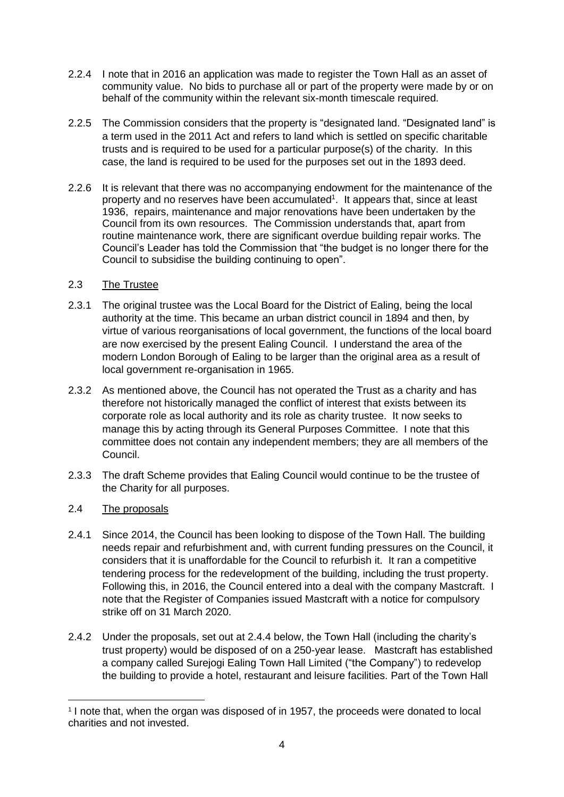- 2.2.4 I note that in 2016 an application was made to register the Town Hall as an asset of community value. No bids to purchase all or part of the property were made by or on behalf of the community within the relevant six-month timescale required.
- 2.2.5 The Commission considers that the property is "designated land. "Designated land" is a term used in the 2011 Act and refers to land which is settled on specific charitable trusts and is required to be used for a particular purpose(s) of the charity. In this case, the land is required to be used for the purposes set out in the 1893 deed.
- 2.2.6 It is relevant that there was no accompanying endowment for the maintenance of the property and no reserves have been accumulated<sup>1</sup>. It appears that, since at least 1936, repairs, maintenance and major renovations have been undertaken by the Council from its own resources. The Commission understands that, apart from routine maintenance work, there are significant overdue building repair works. The Council's Leader has told the Commission that "the budget is no longer there for the Council to subsidise the building continuing to open".

## 2.3 The Trustee

- 2.3.1 The original trustee was the Local Board for the District of Ealing, being the local authority at the time. This became an urban district council in 1894 and then, by virtue of various reorganisations of local government, the functions of the local board are now exercised by the present Ealing Council. I understand the area of the modern London Borough of Ealing to be larger than the original area as a result of local government re-organisation in 1965.
- 2.3.2 As mentioned above, the Council has not operated the Trust as a charity and has therefore not historically managed the conflict of interest that exists between its corporate role as local authority and its role as charity trustee. It now seeks to manage this by acting through its General Purposes Committee. I note that this committee does not contain any independent members; they are all members of the Council.
- 2.3.3 The draft Scheme provides that Ealing Council would continue to be the trustee of the Charity for all purposes.

## 2.4 The proposals

- 2.4.1 Since 2014, the Council has been looking to dispose of the Town Hall. The building needs repair and refurbishment and, with current funding pressures on the Council, it considers that it is unaffordable for the Council to refurbish it. It ran a competitive tendering process for the redevelopment of the building, including the trust property. Following this, in 2016, the Council entered into a deal with the company Mastcraft. I note that the Register of Companies issued Mastcraft with a notice for compulsory strike off on 31 March 2020.
- 2.4.2 Under the proposals, set out at 2.4.4 below, the Town Hall (including the charity's trust property) would be disposed of on a 250-year lease. Mastcraft has established a company called Surejogi Ealing Town Hall Limited ("the Company") to redevelop the building to provide a hotel, restaurant and leisure facilities. Part of the Town Hall

<sup>&</sup>lt;sup>1</sup> I note that, when the organ was disposed of in 1957, the proceeds were donated to local charities and not invested.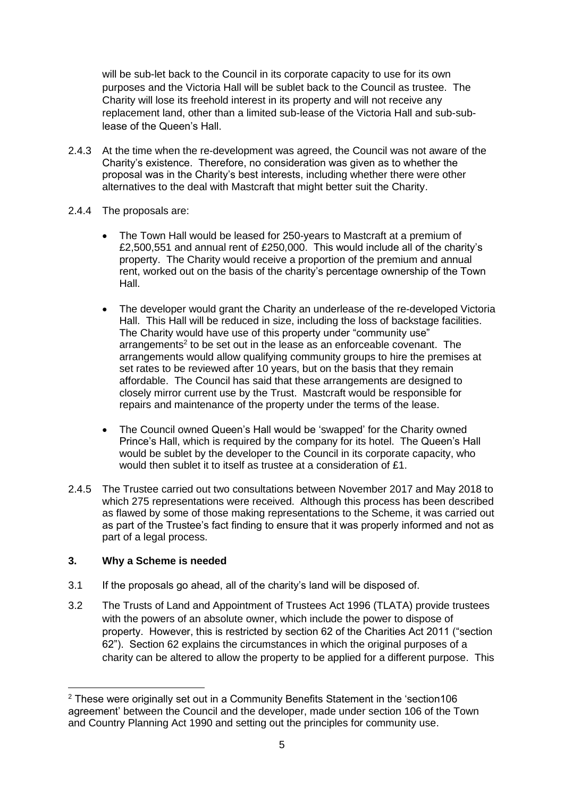will be sub-let back to the Council in its corporate capacity to use for its own purposes and the Victoria Hall will be sublet back to the Council as trustee. The Charity will lose its freehold interest in its property and will not receive any replacement land, other than a limited sub-lease of the Victoria Hall and sub-sublease of the Queen's Hall.

- 2.4.3 At the time when the re-development was agreed, the Council was not aware of the Charity's existence. Therefore, no consideration was given as to whether the proposal was in the Charity's best interests, including whether there were other alternatives to the deal with Mastcraft that might better suit the Charity.
- 2.4.4 The proposals are:
	- The Town Hall would be leased for 250-years to Mastcraft at a premium of £2,500,551 and annual rent of £250,000. This would include all of the charity's property. The Charity would receive a proportion of the premium and annual rent, worked out on the basis of the charity's percentage ownership of the Town Hall.
	- The developer would grant the Charity an underlease of the re-developed Victoria Hall. This Hall will be reduced in size, including the loss of backstage facilities. The Charity would have use of this property under "community use" arrangements<sup>2</sup> to be set out in the lease as an enforceable covenant. The arrangements would allow qualifying community groups to hire the premises at set rates to be reviewed after 10 years, but on the basis that they remain affordable. The Council has said that these arrangements are designed to closely mirror current use by the Trust. Mastcraft would be responsible for repairs and maintenance of the property under the terms of the lease.
	- The Council owned Queen's Hall would be 'swapped' for the Charity owned Prince's Hall, which is required by the company for its hotel. The Queen's Hall would be sublet by the developer to the Council in its corporate capacity, who would then sublet it to itself as trustee at a consideration of £1.
- 2.4.5 The Trustee carried out two consultations between November 2017 and May 2018 to which 275 representations were received. Although this process has been described as flawed by some of those making representations to the Scheme, it was carried out as part of the Trustee's fact finding to ensure that it was properly informed and not as part of a legal process.

## **3. Why a Scheme is needed**

- 3.1 If the proposals go ahead, all of the charity's land will be disposed of.
- 3.2 The Trusts of Land and Appointment of Trustees Act 1996 (TLATA) provide trustees with the powers of an absolute owner, which include the power to dispose of property. However, this is restricted by section 62 of the Charities Act 2011 ("section 62"). Section 62 explains the circumstances in which the original purposes of a charity can be altered to allow the property to be applied for a different purpose. This

 $2$  These were originally set out in a Community Benefits Statement in the 'section 106 agreement' between the Council and the developer, made under section 106 of the Town and Country Planning Act 1990 and setting out the principles for community use.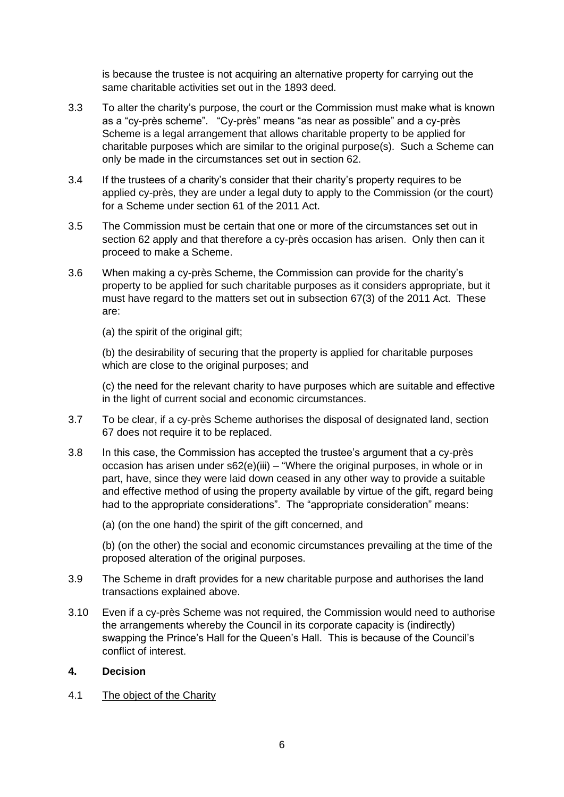is because the trustee is not acquiring an alternative property for carrying out the same charitable activities set out in the 1893 deed.

- 3.3 To alter the charity's purpose, the court or the Commission must make what is known as a "cy-près scheme". "Cy-près" means "as near as possible" and a cy-près Scheme is a legal arrangement that allows charitable property to be applied for charitable purposes which are similar to the original purpose(s). Such a Scheme can only be made in the circumstances set out in section 62.
- 3.4 If the trustees of a charity's consider that their charity's property requires to be applied cy-près, they are under a legal duty to apply to the Commission (or the court) for a Scheme under section 61 of the 2011 Act.
- 3.5 The Commission must be certain that one or more of the circumstances set out in section 62 apply and that therefore a cy-près occasion has arisen. Only then can it proceed to make a Scheme.
- 3.6 When making a cy-près Scheme, the Commission can provide for the charity's property to be applied for such charitable purposes as it considers appropriate, but it must have regard to the matters set out in subsection 67(3) of the 2011 Act. These are:
	- (a) the spirit of the original gift;

(b) the desirability of securing that the property is applied for charitable purposes which are close to the original purposes; and

(c) the need for the relevant charity to have purposes which are suitable and effective in the light of current social and economic circumstances.

- 3.7 To be clear, if a cy-près Scheme authorises the disposal of designated land, section 67 does not require it to be replaced.
- 3.8 In this case, the Commission has accepted the trustee's argument that a cy-près occasion has arisen under s62(e)(iii) – "Where the original purposes, in whole or in part, have, since they were laid down ceased in any other way to provide a suitable and effective method of using the property available by virtue of the gift, regard being had to the appropriate considerations". The "appropriate consideration" means:
	- (a) (on the one hand) the spirit of the gift concerned, and

(b) (on the other) the social and economic circumstances prevailing at the time of the proposed alteration of the original purposes.

- 3.9 The Scheme in draft provides for a new charitable purpose and authorises the land transactions explained above.
- 3.10 Even if a cy-près Scheme was not required, the Commission would need to authorise the arrangements whereby the Council in its corporate capacity is (indirectly) swapping the Prince's Hall for the Queen's Hall. This is because of the Council's conflict of interest.

### **4. Decision**

4.1 The object of the Charity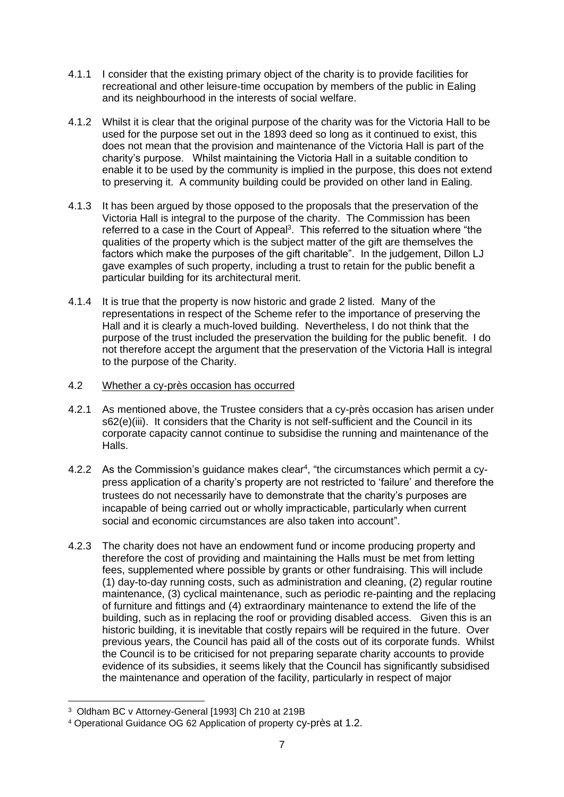- 4.1.1 I consider that the existing primary object of the charity is to provide facilities for recreational and other leisure-time occupation by members of the public in Ealing and its neighbourhood in the interests of social welfare.
- 4.1.2 Whilst it is clear that the original purpose of the charity was for the Victoria Hall to be used for the purpose set out in the 1893 deed so long as it continued to exist, this does not mean that the provision and maintenance of the Victoria Hall is part of the charity's purpose. Whilst maintaining the Victoria Hall in a suitable condition to enable it to be used by the community is implied in the purpose, this does not extend to preserving it. A community building could be provided on other land in Ealing.
- 4.1.3 It has been argued by those opposed to the proposals that the preservation of the Victoria Hall is integral to the purpose of the charity. The Commission has been referred to a case in the Court of Appeal<sup>3</sup>. This referred to the situation where "the qualities of the property which is the subject matter of the gift are themselves the factors which make the purposes of the gift charitable". In the judgement, Dillon LJ gave examples of such property, including a trust to retain for the public benefit a particular building for its architectural merit.
- 4.1.4 It is true that the property is now historic and grade 2 listed. Many of the representations in respect of the Scheme refer to the importance of preserving the Hall and it is clearly a much-loved building. Nevertheless, I do not think that the purpose of the trust included the preservation the building for the public benefit. I do not therefore accept the argument that the preservation of the Victoria Hall is integral to the purpose of the Charity.
- 4.2 Whether a cy-près occasion has occurred
- 4.2.1 As mentioned above, the Trustee considers that a cy-près occasion has arisen under s62(e)(iii). It considers that the Charity is not self-sufficient and the Council in its corporate capacity cannot continue to subsidise the running and maintenance of the Halls.
- 4.2.2 As the Commission's guidance makes clear<sup>4</sup>, "the circumstances which permit a cypress application of a charity's property are not restricted to 'failure' and therefore the trustees do not necessarily have to demonstrate that the charity's purposes are incapable of being carried out or wholly impracticable, particularly when current social and economic circumstances are also taken into account".
- 4.2.3 The charity does not have an endowment fund or income producing property and therefore the cost of providing and maintaining the Halls must be met from letting fees, supplemented where possible by grants or other fundraising. This will include (1) day-to-day running costs, such as administration and cleaning, (2) regular routine maintenance, (3) cyclical maintenance, such as periodic re-painting and the replacing of furniture and fittings and (4) extraordinary maintenance to extend the life of the building, such as in replacing the roof or providing disabled access. Given this is an historic building, it is inevitable that costly repairs will be required in the future. Over previous years, the Council has paid all of the costs out of its corporate funds. Whilst the Council is to be criticised for not preparing separate charity accounts to provide evidence of its subsidies, it seems likely that the Council has significantly subsidised the maintenance and operation of the facility, particularly in respect of major

<sup>3</sup> Oldham BC v Attorney-General [1993] Ch 210 at 219B

<sup>4</sup> Operational Guidance OG 62 Application of property cy-près at 1.2.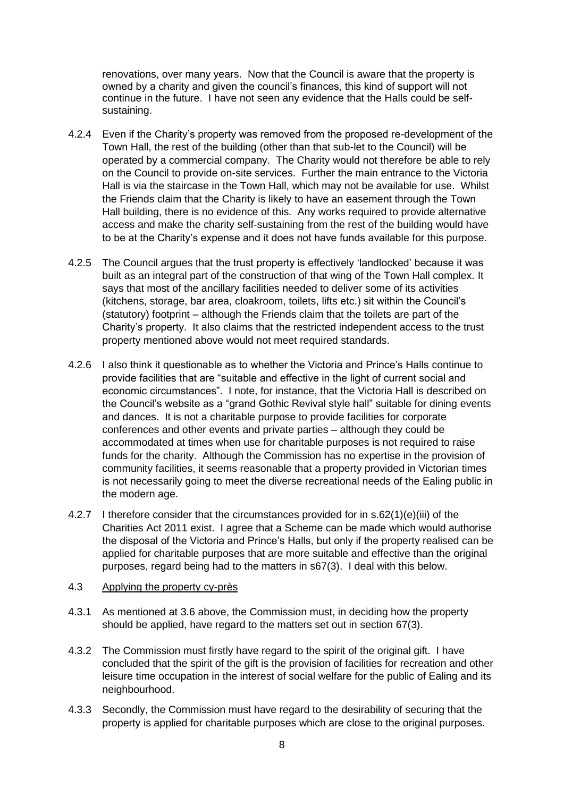renovations, over many years. Now that the Council is aware that the property is owned by a charity and given the council's finances, this kind of support will not continue in the future. I have not seen any evidence that the Halls could be selfsustaining.

- 4.2.4 Even if the Charity's property was removed from the proposed re-development of the Town Hall, the rest of the building (other than that sub-let to the Council) will be operated by a commercial company. The Charity would not therefore be able to rely on the Council to provide on-site services. Further the main entrance to the Victoria Hall is via the staircase in the Town Hall, which may not be available for use. Whilst the Friends claim that the Charity is likely to have an easement through the Town Hall building, there is no evidence of this. Any works required to provide alternative access and make the charity self-sustaining from the rest of the building would have to be at the Charity's expense and it does not have funds available for this purpose.
- 4.2.5 The Council argues that the trust property is effectively 'landlocked' because it was built as an integral part of the construction of that wing of the Town Hall complex. It says that most of the ancillary facilities needed to deliver some of its activities (kitchens, storage, bar area, cloakroom, toilets, lifts etc.) sit within the Council's (statutory) footprint – although the Friends claim that the toilets are part of the Charity's property. It also claims that the restricted independent access to the trust property mentioned above would not meet required standards.
- 4.2.6 I also think it questionable as to whether the Victoria and Prince's Halls continue to provide facilities that are "suitable and effective in the light of current social and economic circumstances". I note, for instance, that the Victoria Hall is described on the Council's website as a "grand Gothic Revival style hall" suitable for dining events and dances. It is not a charitable purpose to provide facilities for corporate conferences and other events and private parties – although they could be accommodated at times when use for charitable purposes is not required to raise funds for the charity. Although the Commission has no expertise in the provision of community facilities, it seems reasonable that a property provided in Victorian times is not necessarily going to meet the diverse recreational needs of the Ealing public in the modern age.
- 4.2.7 I therefore consider that the circumstances provided for in s.62(1)(e)(iii) of the Charities Act 2011 exist. I agree that a Scheme can be made which would authorise the disposal of the Victoria and Prince's Halls, but only if the property realised can be applied for charitable purposes that are more suitable and effective than the original purposes, regard being had to the matters in s67(3). I deal with this below.

#### 4.3 Applying the property cy-près

- 4.3.1 As mentioned at 3.6 above, the Commission must, in deciding how the property should be applied, have regard to the matters set out in section 67(3).
- 4.3.2 The Commission must firstly have regard to the spirit of the original gift. I have concluded that the spirit of the gift is the provision of facilities for recreation and other leisure time occupation in the interest of social welfare for the public of Ealing and its neighbourhood.
- 4.3.3 Secondly, the Commission must have regard to the desirability of securing that the property is applied for charitable purposes which are close to the original purposes.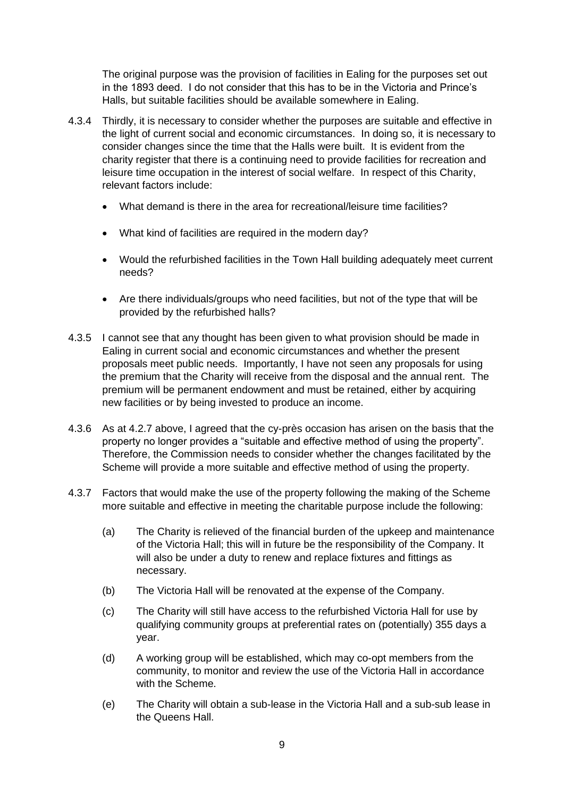The original purpose was the provision of facilities in Ealing for the purposes set out in the 1893 deed. I do not consider that this has to be in the Victoria and Prince's Halls, but suitable facilities should be available somewhere in Ealing.

- 4.3.4 Thirdly, it is necessary to consider whether the purposes are suitable and effective in the light of current social and economic circumstances. In doing so, it is necessary to consider changes since the time that the Halls were built. It is evident from the charity register that there is a continuing need to provide facilities for recreation and leisure time occupation in the interest of social welfare. In respect of this Charity, relevant factors include:
	- What demand is there in the area for recreational/leisure time facilities?
	- What kind of facilities are required in the modern day?
	- Would the refurbished facilities in the Town Hall building adequately meet current needs?
	- Are there individuals/groups who need facilities, but not of the type that will be provided by the refurbished halls?
- 4.3.5 I cannot see that any thought has been given to what provision should be made in Ealing in current social and economic circumstances and whether the present proposals meet public needs. Importantly, I have not seen any proposals for using the premium that the Charity will receive from the disposal and the annual rent. The premium will be permanent endowment and must be retained, either by acquiring new facilities or by being invested to produce an income.
- 4.3.6 As at 4.2.7 above, I agreed that the cy-près occasion has arisen on the basis that the property no longer provides a "suitable and effective method of using the property". Therefore, the Commission needs to consider whether the changes facilitated by the Scheme will provide a more suitable and effective method of using the property.
- 4.3.7 Factors that would make the use of the property following the making of the Scheme more suitable and effective in meeting the charitable purpose include the following:
	- (a) The Charity is relieved of the financial burden of the upkeep and maintenance of the Victoria Hall; this will in future be the responsibility of the Company. It will also be under a duty to renew and replace fixtures and fittings as necessary.
	- (b) The Victoria Hall will be renovated at the expense of the Company.
	- (c) The Charity will still have access to the refurbished Victoria Hall for use by qualifying community groups at preferential rates on (potentially) 355 days a year.
	- (d) A working group will be established, which may co-opt members from the community, to monitor and review the use of the Victoria Hall in accordance with the Scheme.
	- (e) The Charity will obtain a sub-lease in the Victoria Hall and a sub-sub lease in the Queens Hall.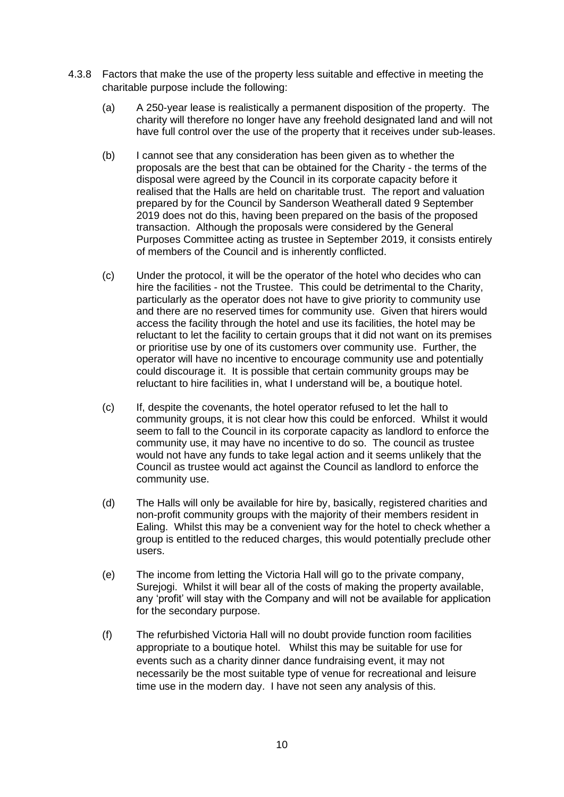- 4.3.8 Factors that make the use of the property less suitable and effective in meeting the charitable purpose include the following:
	- (a) A 250-year lease is realistically a permanent disposition of the property. The charity will therefore no longer have any freehold designated land and will not have full control over the use of the property that it receives under sub-leases.
	- (b) I cannot see that any consideration has been given as to whether the proposals are the best that can be obtained for the Charity - the terms of the disposal were agreed by the Council in its corporate capacity before it realised that the Halls are held on charitable trust. The report and valuation prepared by for the Council by Sanderson Weatherall dated 9 September 2019 does not do this, having been prepared on the basis of the proposed transaction. Although the proposals were considered by the General Purposes Committee acting as trustee in September 2019, it consists entirely of members of the Council and is inherently conflicted.
	- (c) Under the protocol, it will be the operator of the hotel who decides who can hire the facilities - not the Trustee. This could be detrimental to the Charity, particularly as the operator does not have to give priority to community use and there are no reserved times for community use. Given that hirers would access the facility through the hotel and use its facilities, the hotel may be reluctant to let the facility to certain groups that it did not want on its premises or prioritise use by one of its customers over community use. Further, the operator will have no incentive to encourage community use and potentially could discourage it. It is possible that certain community groups may be reluctant to hire facilities in, what I understand will be, a boutique hotel.
	- (c) If, despite the covenants, the hotel operator refused to let the hall to community groups, it is not clear how this could be enforced. Whilst it would seem to fall to the Council in its corporate capacity as landlord to enforce the community use, it may have no incentive to do so. The council as trustee would not have any funds to take legal action and it seems unlikely that the Council as trustee would act against the Council as landlord to enforce the community use.
	- (d) The Halls will only be available for hire by, basically, registered charities and non-profit community groups with the majority of their members resident in Ealing. Whilst this may be a convenient way for the hotel to check whether a group is entitled to the reduced charges, this would potentially preclude other users.
	- (e) The income from letting the Victoria Hall will go to the private company, Surejogi. Whilst it will bear all of the costs of making the property available. any 'profit' will stay with the Company and will not be available for application for the secondary purpose.
	- (f) The refurbished Victoria Hall will no doubt provide function room facilities appropriate to a boutique hotel. Whilst this may be suitable for use for events such as a charity dinner dance fundraising event, it may not necessarily be the most suitable type of venue for recreational and leisure time use in the modern day. I have not seen any analysis of this.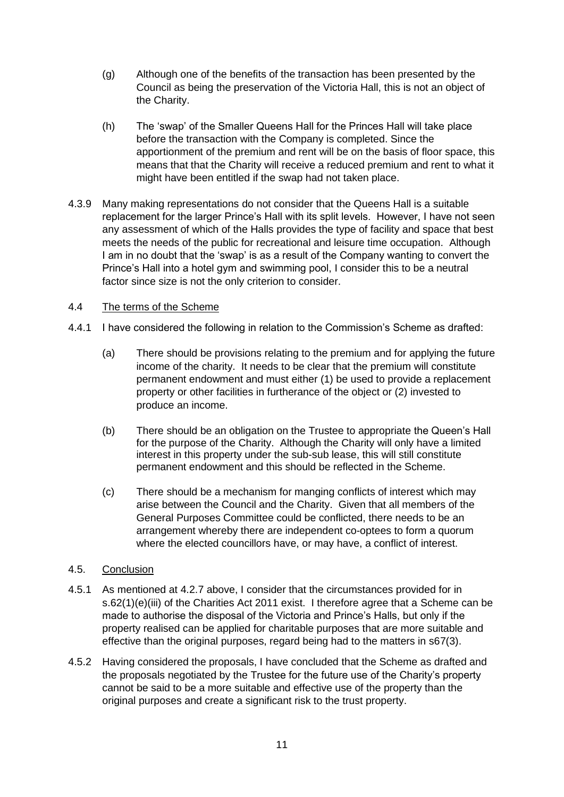- (g) Although one of the benefits of the transaction has been presented by the Council as being the preservation of the Victoria Hall, this is not an object of the Charity.
- (h) The 'swap' of the Smaller Queens Hall for the Princes Hall will take place before the transaction with the Company is completed. Since the apportionment of the premium and rent will be on the basis of floor space, this means that that the Charity will receive a reduced premium and rent to what it might have been entitled if the swap had not taken place.
- 4.3.9 Many making representations do not consider that the Queens Hall is a suitable replacement for the larger Prince's Hall with its split levels. However, I have not seen any assessment of which of the Halls provides the type of facility and space that best meets the needs of the public for recreational and leisure time occupation. Although I am in no doubt that the 'swap' is as a result of the Company wanting to convert the Prince's Hall into a hotel gym and swimming pool, I consider this to be a neutral factor since size is not the only criterion to consider.

### 4.4 The terms of the Scheme

- 4.4.1 I have considered the following in relation to the Commission's Scheme as drafted:
	- (a) There should be provisions relating to the premium and for applying the future income of the charity. It needs to be clear that the premium will constitute permanent endowment and must either (1) be used to provide a replacement property or other facilities in furtherance of the object or (2) invested to produce an income.
	- (b) There should be an obligation on the Trustee to appropriate the Queen's Hall for the purpose of the Charity. Although the Charity will only have a limited interest in this property under the sub-sub lease, this will still constitute permanent endowment and this should be reflected in the Scheme.
	- (c) There should be a mechanism for manging conflicts of interest which may arise between the Council and the Charity. Given that all members of the General Purposes Committee could be conflicted, there needs to be an arrangement whereby there are independent co-optees to form a quorum where the elected councillors have, or may have, a conflict of interest.

### 4.5. Conclusion

- 4.5.1 As mentioned at 4.2.7 above, I consider that the circumstances provided for in s.62(1)(e)(iii) of the Charities Act 2011 exist. I therefore agree that a Scheme can be made to authorise the disposal of the Victoria and Prince's Halls, but only if the property realised can be applied for charitable purposes that are more suitable and effective than the original purposes, regard being had to the matters in s67(3).
- 4.5.2 Having considered the proposals, I have concluded that the Scheme as drafted and the proposals negotiated by the Trustee for the future use of the Charity's property cannot be said to be a more suitable and effective use of the property than the original purposes and create a significant risk to the trust property.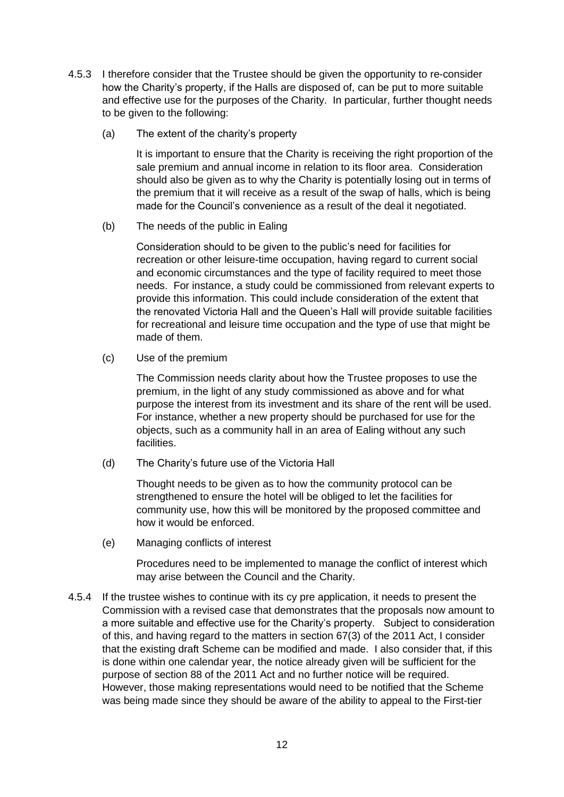- 4.5.3 I therefore consider that the Trustee should be given the opportunity to re-consider how the Charity's property, if the Halls are disposed of, can be put to more suitable and effective use for the purposes of the Charity. In particular, further thought needs to be given to the following:
	- (a) The extent of the charity's property

It is important to ensure that the Charity is receiving the right proportion of the sale premium and annual income in relation to its floor area. Consideration should also be given as to why the Charity is potentially losing out in terms of the premium that it will receive as a result of the swap of halls, which is being made for the Council's convenience as a result of the deal it negotiated.

(b) The needs of the public in Ealing

Consideration should to be given to the public's need for facilities for recreation or other leisure-time occupation, having regard to current social and economic circumstances and the type of facility required to meet those needs. For instance, a study could be commissioned from relevant experts to provide this information. This could include consideration of the extent that the renovated Victoria Hall and the Queen's Hall will provide suitable facilities for recreational and leisure time occupation and the type of use that might be made of them.

(c) Use of the premium

The Commission needs clarity about how the Trustee proposes to use the premium, in the light of any study commissioned as above and for what purpose the interest from its investment and its share of the rent will be used. For instance, whether a new property should be purchased for use for the objects, such as a community hall in an area of Ealing without any such facilities.

(d) The Charity's future use of the Victoria Hall

Thought needs to be given as to how the community protocol can be strengthened to ensure the hotel will be obliged to let the facilities for community use, how this will be monitored by the proposed committee and how it would be enforced.

(e) Managing conflicts of interest

Procedures need to be implemented to manage the conflict of interest which may arise between the Council and the Charity.

4.5.4 If the trustee wishes to continue with its cy pre application, it needs to present the Commission with a revised case that demonstrates that the proposals now amount to a more suitable and effective use for the Charity's property. Subject to consideration of this, and having regard to the matters in section 67(3) of the 2011 Act, I consider that the existing draft Scheme can be modified and made. I also consider that, if this is done within one calendar year, the notice already given will be sufficient for the purpose of section 88 of the 2011 Act and no further notice will be required. However, those making representations would need to be notified that the Scheme was being made since they should be aware of the ability to appeal to the First-tier